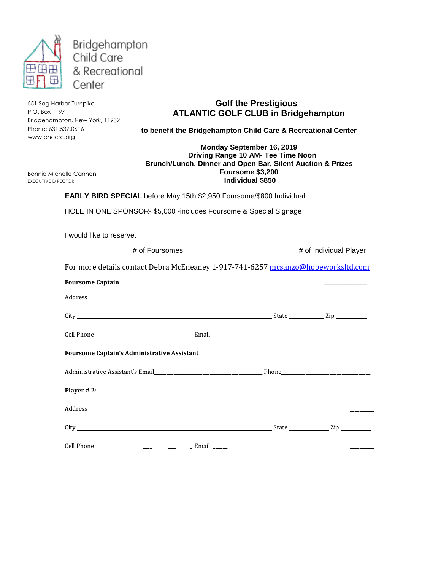

551 Sag Harbor Turnpike P.O. Box 1197 Bridgehampton, New York, 11932 Phone: 631.537.0616 www.bhccrc.org

## **Golf the Prestigious ATLANTIC GOLF CLUB in Bridgehampton**

**to benefit the Bridgehampton Child Care & Recreational Center**

## **Monday September 16, 2019 Driving Range 10 AM- Tee Time Noon Brunch/Lunch, Dinner and Open Bar, Silent Auction & Prizes Foursome \$3,200 Individual \$850**

Bonnie Michelle Cannon EXECUTIVE DIRECTOR

**EARLY BIRD SPECIAL** before May 15th \$2,950 Foursome/\$800 Individual

HOLE IN ONE SPONSOR- \$5,000 -includes Foursome & Special Signage

I would like to reserve:

| # of Foursomes                                                                   | # of Individual Player |
|----------------------------------------------------------------------------------|------------------------|
| For more details contact Debra McEneaney 1-917-741-6257 mcsanzo@hopeworksltd.com |                        |

| Foursome Captain Lawrence and Captain Lawrence and Captain Lawrence and Captain Lawrence and Captain Lawrence |  |  |
|---------------------------------------------------------------------------------------------------------------|--|--|
|                                                                                                               |  |  |
|                                                                                                               |  |  |
|                                                                                                               |  |  |
|                                                                                                               |  |  |
|                                                                                                               |  |  |
| Player # 2: $\frac{1}{2}$                                                                                     |  |  |
|                                                                                                               |  |  |
|                                                                                                               |  |  |
|                                                                                                               |  |  |